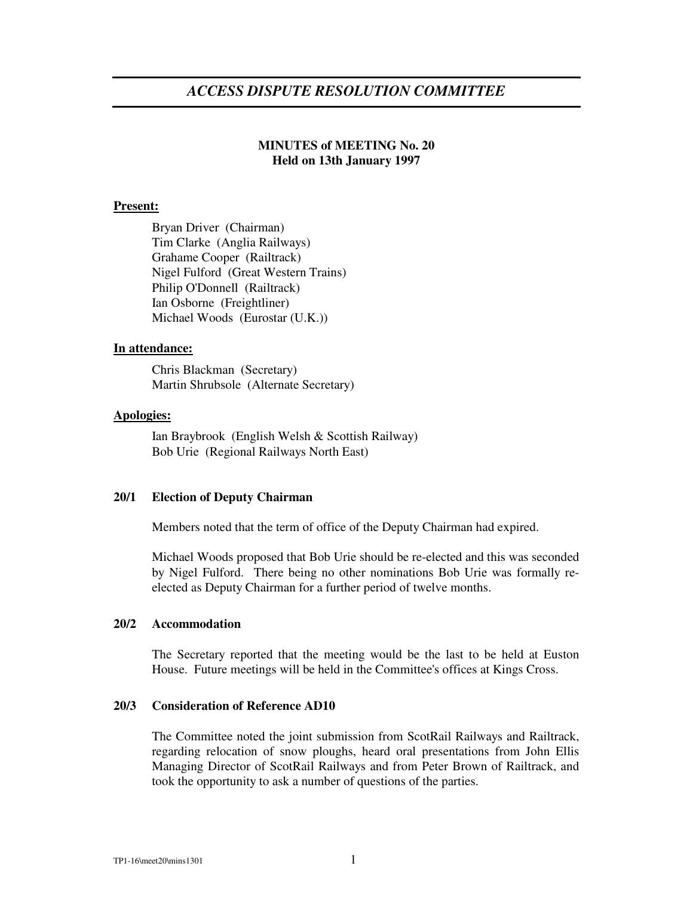# *ACCESS DISPUTE RESOLUTION COMMITTEE*

## **MINUTES of MEETING No. 20 Held on 13th January 1997**

## **Present:**

Bryan Driver (Chairman) Tim Clarke (Anglia Railways) Grahame Cooper (Railtrack) Nigel Fulford (Great Western Trains) Philip O'Donnell (Railtrack) Ian Osborne (Freightliner) Michael Woods (Eurostar (U.K.))

## **In attendance:**

Chris Blackman (Secretary) Martin Shrubsole (Alternate Secretary)

#### **Apologies:**

Ian Braybrook (English Welsh & Scottish Railway) Bob Urie (Regional Railways North East)

#### **20/1 Election of Deputy Chairman**

Members noted that the term of office of the Deputy Chairman had expired.

Michael Woods proposed that Bob Urie should be re-elected and this was seconded by Nigel Fulford. There being no other nominations Bob Urie was formally reelected as Deputy Chairman for a further period of twelve months.

## **20/2 Accommodation**

The Secretary reported that the meeting would be the last to be held at Euston House. Future meetings will be held in the Committee's offices at Kings Cross.

## **20/3 Consideration of Reference AD10**

The Committee noted the joint submission from ScotRail Railways and Railtrack, regarding relocation of snow ploughs, heard oral presentations from John Ellis Managing Director of ScotRail Railways and from Peter Brown of Railtrack, and took the opportunity to ask a number of questions of the parties.